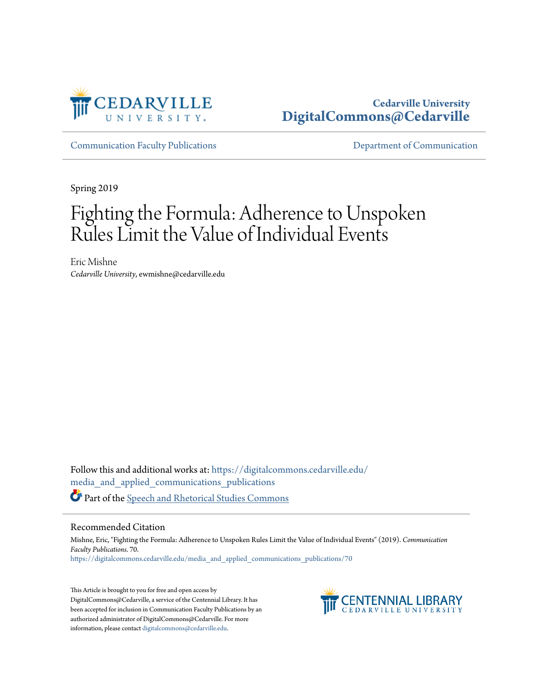

# **Cedarville University [DigitalCommons@Cedarville](https://digitalcommons.cedarville.edu?utm_source=digitalcommons.cedarville.edu%2Fmedia_and_applied_communications_publications%2F70&utm_medium=PDF&utm_campaign=PDFCoverPages)**

[Communication Faculty Publications](https://digitalcommons.cedarville.edu/media_and_applied_communications_publications?utm_source=digitalcommons.cedarville.edu%2Fmedia_and_applied_communications_publications%2F70&utm_medium=PDF&utm_campaign=PDFCoverPages) [Department of Communication](https://digitalcommons.cedarville.edu/media_and_applied_communications?utm_source=digitalcommons.cedarville.edu%2Fmedia_and_applied_communications_publications%2F70&utm_medium=PDF&utm_campaign=PDFCoverPages)

Spring 2019

# Fighting the Formula: Adherence to Unspoken Rules Limit the Value of Individual Events

Eric Mishne *Cedarville University*, ewmishne@cedarville.edu

Follow this and additional works at: [https://digitalcommons.cedarville.edu/](https://digitalcommons.cedarville.edu/media_and_applied_communications_publications?utm_source=digitalcommons.cedarville.edu%2Fmedia_and_applied_communications_publications%2F70&utm_medium=PDF&utm_campaign=PDFCoverPages) [media\\_and\\_applied\\_communications\\_publications](https://digitalcommons.cedarville.edu/media_and_applied_communications_publications?utm_source=digitalcommons.cedarville.edu%2Fmedia_and_applied_communications_publications%2F70&utm_medium=PDF&utm_campaign=PDFCoverPages) Part of the [Speech and Rhetorical Studies Commons](http://network.bepress.com/hgg/discipline/338?utm_source=digitalcommons.cedarville.edu%2Fmedia_and_applied_communications_publications%2F70&utm_medium=PDF&utm_campaign=PDFCoverPages)

#### Recommended Citation

Mishne, Eric, "Fighting the Formula: Adherence to Unspoken Rules Limit the Value of Individual Events" (2019). *Communication Faculty Publications*. 70. [https://digitalcommons.cedarville.edu/media\\_and\\_applied\\_communications\\_publications/70](https://digitalcommons.cedarville.edu/media_and_applied_communications_publications/70?utm_source=digitalcommons.cedarville.edu%2Fmedia_and_applied_communications_publications%2F70&utm_medium=PDF&utm_campaign=PDFCoverPages)

This Article is brought to you for free and open access by DigitalCommons@Cedarville, a service of the Centennial Library. It has been accepted for inclusion in Communication Faculty Publications by an authorized administrator of DigitalCommons@Cedarville. For more information, please contact [digitalcommons@cedarville.edu.](mailto:digitalcommons@cedarville.edu)

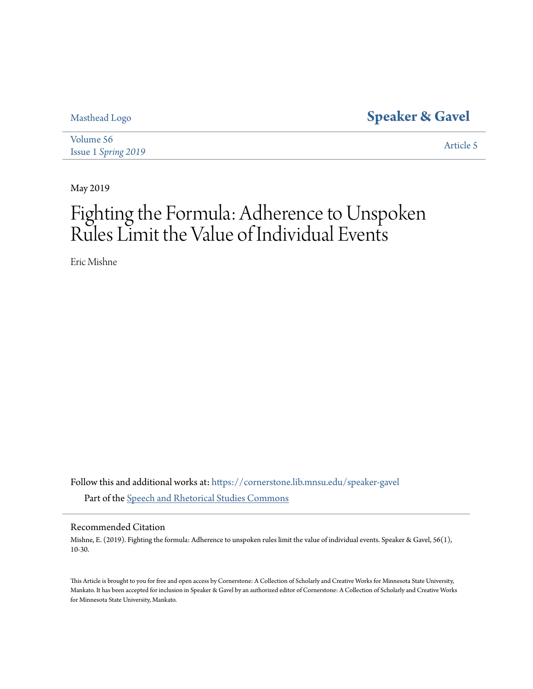# [Masthead Logo](http://cornerstone.lib.mnsu.edu?utm_source=cornerstone.lib.mnsu.edu%2Fspeaker-gavel%2Fvol56%2Fiss1%2F5&utm_medium=PDF&utm_campaign=PDFCoverPages) **[Speaker & Gavel](https://cornerstone.lib.mnsu.edu/speaker-gavel?utm_source=cornerstone.lib.mnsu.edu%2Fspeaker-gavel%2Fvol56%2Fiss1%2F5&utm_medium=PDF&utm_campaign=PDFCoverPages)**

[Volume 56](https://cornerstone.lib.mnsu.edu/speaker-gavel/vol56?utm_source=cornerstone.lib.mnsu.edu%2Fspeaker-gavel%2Fvol56%2Fiss1%2F5&utm_medium=PDF&utm_campaign=PDFCoverPages) Issue 1 *[Spring 2019](https://cornerstone.lib.mnsu.edu/speaker-gavel/vol56/iss1?utm_source=cornerstone.lib.mnsu.edu%2Fspeaker-gavel%2Fvol56%2Fiss1%2F5&utm_medium=PDF&utm_campaign=PDFCoverPages)* [Article 5](https://cornerstone.lib.mnsu.edu/speaker-gavel/vol56/iss1/5?utm_source=cornerstone.lib.mnsu.edu%2Fspeaker-gavel%2Fvol56%2Fiss1%2F5&utm_medium=PDF&utm_campaign=PDFCoverPages)

May 2019

# Fighting the Formula: Adherence to Unspoken Rules Limit the Value of Individual Events

Eric Mishne

Follow this and additional works at: [https://cornerstone.lib.mnsu.edu/speaker-gavel](https://cornerstone.lib.mnsu.edu/speaker-gavel?utm_source=cornerstone.lib.mnsu.edu%2Fspeaker-gavel%2Fvol56%2Fiss1%2F5&utm_medium=PDF&utm_campaign=PDFCoverPages) Part of the [Speech and Rhetorical Studies Commons](http://network.bepress.com/hgg/discipline/338?utm_source=cornerstone.lib.mnsu.edu%2Fspeaker-gavel%2Fvol56%2Fiss1%2F5&utm_medium=PDF&utm_campaign=PDFCoverPages)

Recommended Citation

Mishne, E. (2019). Fighting the formula: Adherence to unspoken rules limit the value of individual events. Speaker & Gavel, 56(1), 10-30.

This Article is brought to you for free and open access by Cornerstone: A Collection of Scholarly and Creative Works for Minnesota State University, Mankato. It has been accepted for inclusion in Speaker & Gavel by an authorized editor of Cornerstone: A Collection of Scholarly and Creative Works for Minnesota State University, Mankato.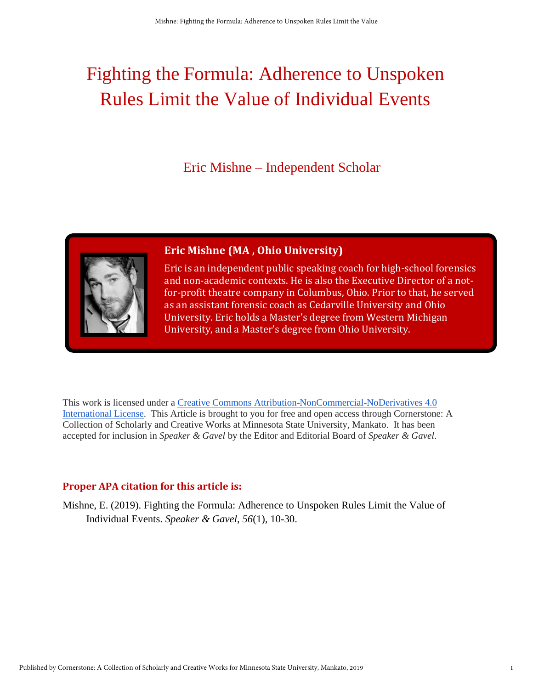# Fighting the Formula: Adherence to Unspoken Rules Limit the Value of Individual Events

Eric Mishne – Independent Scholar



# **Eric Mishne (MA , Ohio University)**

Eric is an independent public speaking coach for high-school forensics and non-academic contexts. He is also the Executive Director of a notfor-profit theatre company in Columbus, Ohio. Prior to that, he served as an assistant forensic coach as Cedarville University and Ohio University. Eric holds a Master's degree from Western Michigan University, and a Master's degree from Ohio University.

This work is licensed under a [Creative Commons Attribution-NonCommercial-NoDerivatives 4.0](http://creativecommons.org/licenses/by-nc-nd/4.0/)  [International License.](http://creativecommons.org/licenses/by-nc-nd/4.0/) This Article is brought to you for free and open access through Cornerstone: A Collection of Scholarly and Creative Works at Minnesota State University, Mankato. It has been accepted for inclusion in *Speaker & Gavel* by the Editor and Editorial Board of *Speaker & Gavel*.

# **Proper APA citation for this article is:**

Mishne, E. (2019). Fighting the Formula: Adherence to Unspoken Rules Limit the Value of Individual Events. *Speaker & Gavel*, *56*(1), 10-30.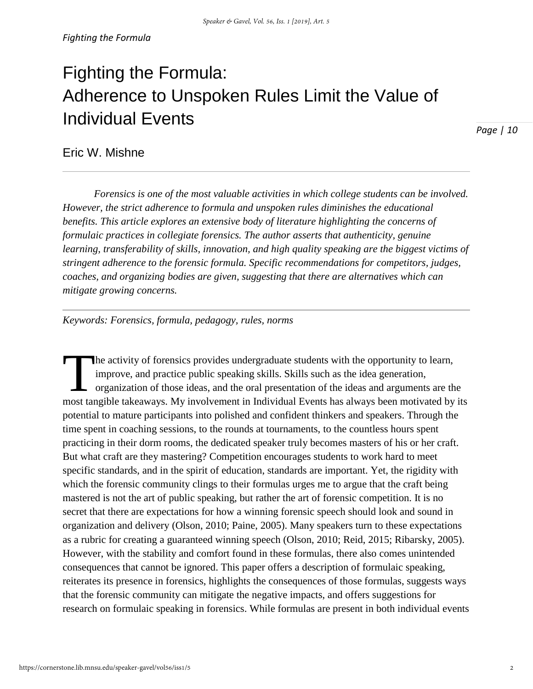# Fighting the Formula: Adherence to Unspoken Rules Limit the Value of Individual Events

*Page | 10*

Eric W. Mishne

*Forensics is one of the most valuable activities in which college students can be involved. However, the strict adherence to formula and unspoken rules diminishes the educational benefits. This article explores an extensive body of literature highlighting the concerns of formulaic practices in collegiate forensics. The author asserts that authenticity, genuine learning, transferability of skills, innovation, and high quality speaking are the biggest victims of stringent adherence to the forensic formula. Specific recommendations for competitors, judges, coaches, and organizing bodies are given, suggesting that there are alternatives which can mitigate growing concerns.* 

*Keywords: Forensics, formula, pedagogy, rules, norms* 

he activity of forensics provides undergraduate students with the opportunity to learn, improve, and practice public speaking skills. Skills such as the idea generation, organization of those ideas, and the oral presentation of the ideas and arguments are the The activity of forensics provides undergraduate students with the opportunity to learn, improve, and practice public speaking skills. Skills such as the idea generation, organization of those ideas, and the oral presentat potential to mature participants into polished and confident thinkers and speakers. Through the time spent in coaching sessions, to the rounds at tournaments, to the countless hours spent practicing in their dorm rooms, the dedicated speaker truly becomes masters of his or her craft. But what craft are they mastering? Competition encourages students to work hard to meet specific standards, and in the spirit of education, standards are important. Yet, the rigidity with which the forensic community clings to their formulas urges me to argue that the craft being mastered is not the art of public speaking, but rather the art of forensic competition. It is no secret that there are expectations for how a winning forensic speech should look and sound in organization and delivery (Olson, 2010; Paine, 2005). Many speakers turn to these expectations as a rubric for creating a guaranteed winning speech (Olson, 2010; Reid, 2015; Ribarsky, 2005). However, with the stability and comfort found in these formulas, there also comes unintended consequences that cannot be ignored. This paper offers a description of formulaic speaking, reiterates its presence in forensics, highlights the consequences of those formulas, suggests ways that the forensic community can mitigate the negative impacts, and offers suggestions for research on formulaic speaking in forensics. While formulas are present in both individual events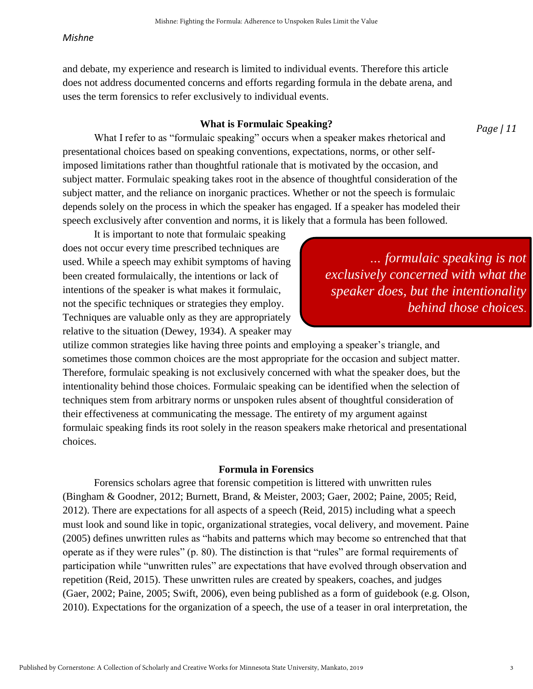and debate, my experience and research is limited to individual events. Therefore this article does not address documented concerns and efforts regarding formula in the debate arena, and uses the term forensics to refer exclusively to individual events.

# **What is Formulaic Speaking?**

*Page | 11*

What I refer to as "formulaic speaking" occurs when a speaker makes rhetorical and presentational choices based on speaking conventions, expectations, norms, or other selfimposed limitations rather than thoughtful rationale that is motivated by the occasion, and subject matter. Formulaic speaking takes root in the absence of thoughtful consideration of the subject matter, and the reliance on inorganic practices. Whether or not the speech is formulaic depends solely on the process in which the speaker has engaged. If a speaker has modeled their speech exclusively after convention and norms, it is likely that a formula has been followed.

It is important to note that formulaic speaking does not occur every time prescribed techniques are used. While a speech may exhibit symptoms of having been created formulaically, the intentions or lack of intentions of the speaker is what makes it formulaic, not the specific techniques or strategies they employ. Techniques are valuable only as they are appropriately relative to the situation (Dewey, 1934). A speaker may

 *… formulaic speaking is not exclusively concerned with what the speaker does, but the intentionality behind those choices*.

utilize common strategies like having three points and employing a speaker's triangle, and sometimes those common choices are the most appropriate for the occasion and subject matter. Therefore, formulaic speaking is not exclusively concerned with what the speaker does, but the intentionality behind those choices. Formulaic speaking can be identified when the selection of techniques stem from arbitrary norms or unspoken rules absent of thoughtful consideration of their effectiveness at communicating the message. The entirety of my argument against formulaic speaking finds its root solely in the reason speakers make rhetorical and presentational choices.

# **Formula in Forensics**

Forensics scholars agree that forensic competition is littered with unwritten rules (Bingham & Goodner, 2012; Burnett, Brand, & Meister, 2003; Gaer, 2002; Paine, 2005; Reid, 2012). There are expectations for all aspects of a speech (Reid, 2015) including what a speech must look and sound like in topic, organizational strategies, vocal delivery, and movement. Paine (2005) defines unwritten rules as "habits and patterns which may become so entrenched that that operate as if they were rules" (p. 80). The distinction is that "rules" are formal requirements of participation while "unwritten rules" are expectations that have evolved through observation and repetition (Reid, 2015). These unwritten rules are created by speakers, coaches, and judges (Gaer, 2002; Paine, 2005; Swift, 2006), even being published as a form of guidebook (e.g. Olson, 2010). Expectations for the organization of a speech, the use of a teaser in oral interpretation, the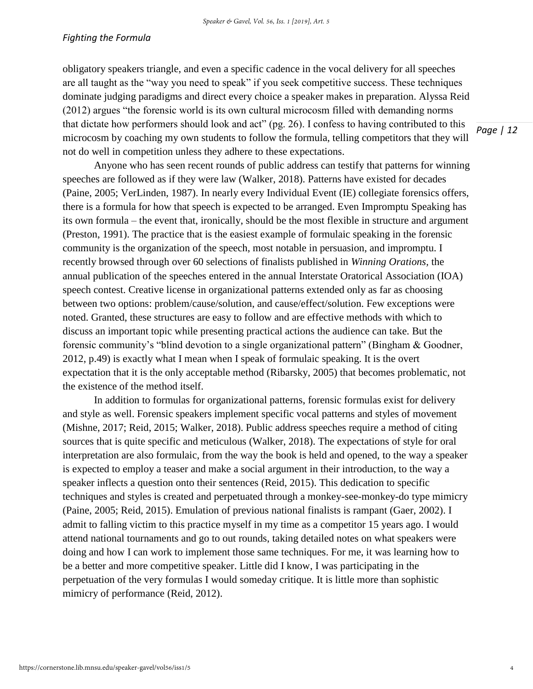### *Fighting the Formula*

obligatory speakers triangle, and even a specific cadence in the vocal delivery for all speeches are all taught as the "way you need to speak" if you seek competitive success. These techniques dominate judging paradigms and direct every choice a speaker makes in preparation. Alyssa Reid (2012) argues "the forensic world is its own cultural microcosm filled with demanding norms that dictate how performers should look and act" (pg. 26). I confess to having contributed to this microcosm by coaching my own students to follow the formula, telling competitors that they will not do well in competition unless they adhere to these expectations.

Anyone who has seen recent rounds of public address can testify that patterns for winning speeches are followed as if they were law (Walker, 2018). Patterns have existed for decades (Paine, 2005; VerLinden, 1987). In nearly every Individual Event (IE) collegiate forensics offers, there is a formula for how that speech is expected to be arranged. Even Impromptu Speaking has its own formula – the event that, ironically, should be the most flexible in structure and argument (Preston, 1991). The practice that is the easiest example of formulaic speaking in the forensic community is the organization of the speech, most notable in persuasion, and impromptu. I recently browsed through over 60 selections of finalists published in *Winning Orations,* the annual publication of the speeches entered in the annual Interstate Oratorical Association (IOA) speech contest. Creative license in organizational patterns extended only as far as choosing between two options: problem/cause/solution, and cause/effect/solution. Few exceptions were noted. Granted, these structures are easy to follow and are effective methods with which to discuss an important topic while presenting practical actions the audience can take. But the forensic community's "blind devotion to a single organizational pattern" (Bingham & Goodner, 2012, p.49) is exactly what I mean when I speak of formulaic speaking. It is the overt expectation that it is the only acceptable method (Ribarsky, 2005) that becomes problematic, not the existence of the method itself.

In addition to formulas for organizational patterns, forensic formulas exist for delivery and style as well. Forensic speakers implement specific vocal patterns and styles of movement (Mishne, 2017; Reid, 2015; Walker, 2018). Public address speeches require a method of citing sources that is quite specific and meticulous (Walker, 2018). The expectations of style for oral interpretation are also formulaic, from the way the book is held and opened, to the way a speaker is expected to employ a teaser and make a social argument in their introduction, to the way a speaker inflects a question onto their sentences (Reid, 2015). This dedication to specific techniques and styles is created and perpetuated through a monkey-see-monkey-do type mimicry (Paine, 2005; Reid, 2015). Emulation of previous national finalists is rampant (Gaer, 2002). I admit to falling victim to this practice myself in my time as a competitor 15 years ago. I would attend national tournaments and go to out rounds, taking detailed notes on what speakers were doing and how I can work to implement those same techniques. For me, it was learning how to be a better and more competitive speaker. Little did I know, I was participating in the perpetuation of the very formulas I would someday critique. It is little more than sophistic mimicry of performance (Reid, 2012).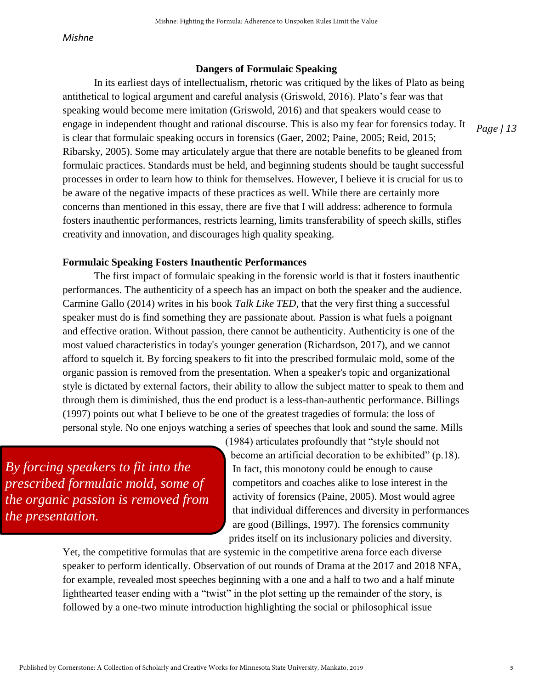# **Dangers of Formulaic Speaking**

In its earliest days of intellectualism, rhetoric was critiqued by the likes of Plato as being antithetical to logical argument and careful analysis (Griswold, 2016). Plato's fear was that speaking would become mere imitation (Griswold, 2016) and that speakers would cease to engage in independent thought and rational discourse. This is also my fear for forensics today. It is clear that formulaic speaking occurs in forensics (Gaer, 2002; Paine, 2005; Reid, 2015; Ribarsky, 2005). Some may articulately argue that there are notable benefits to be gleaned from formulaic practices. Standards must be held, and beginning students should be taught successful processes in order to learn how to think for themselves. However, I believe it is crucial for us to be aware of the negative impacts of these practices as well. While there are certainly more concerns than mentioned in this essay, there are five that I will address: adherence to formula fosters inauthentic performances, restricts learning, limits transferability of speech skills, stifles creativity and innovation, and discourages high quality speaking.

# **Formulaic Speaking Fosters Inauthentic Performances**

The first impact of formulaic speaking in the forensic world is that it fosters inauthentic performances. The authenticity of a speech has an impact on both the speaker and the audience. Carmine Gallo (2014) writes in his book *Talk Like TED,* that the very first thing a successful speaker must do is find something they are passionate about. Passion is what fuels a poignant and effective oration. Without passion, there cannot be authenticity. Authenticity is one of the most valued characteristics in today's younger generation (Richardson, 2017), and we cannot afford to squelch it. By forcing speakers to fit into the prescribed formulaic mold, some of the organic passion is removed from the presentation. When a speaker's topic and organizational style is dictated by external factors, their ability to allow the subject matter to speak to them and through them is diminished, thus the end product is a less-than-authentic performance. Billings (1997) points out what I believe to be one of the greatest tragedies of formula: the loss of personal style. No one enjoys watching a series of speeches that look and sound the same. Mills

*By forcing speakers to fit into the prescribed formulaic mold, some of the organic passion is removed from the presentation.*

(1984) articulates profoundly that "style should not become an artificial decoration to be exhibited" (p.18). In fact, this monotony could be enough to cause competitors and coaches alike to lose interest in the activity of forensics (Paine, 2005). Most would agree that individual differences and diversity in performances are good (Billings, 1997). The forensics community prides itself on its inclusionary policies and diversity.

Yet, the competitive formulas that are systemic in the competitive arena force each diverse speaker to perform identically. Observation of out rounds of Drama at the 2017 and 2018 NFA, for example, revealed most speeches beginning with a one and a half to two and a half minute lighthearted teaser ending with a "twist" in the plot setting up the remainder of the story, is followed by a one-two minute introduction highlighting the social or philosophical issue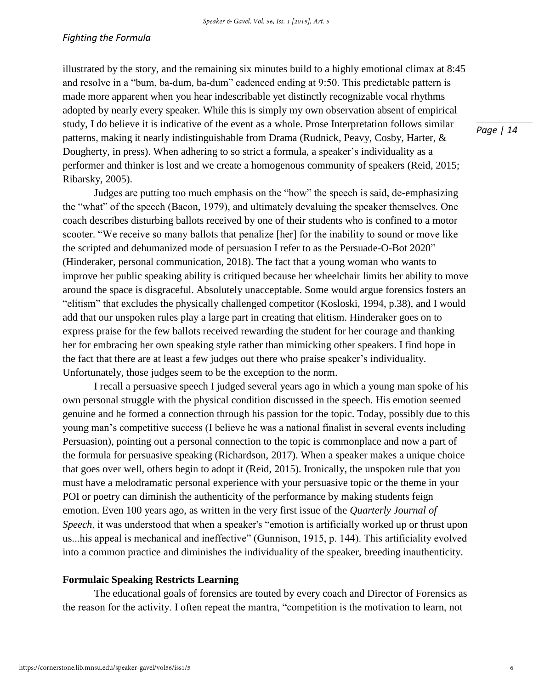illustrated by the story, and the remaining six minutes build to a highly emotional climax at 8:45 and resolve in a "bum, ba-dum, ba-dum" cadenced ending at 9:50. This predictable pattern is made more apparent when you hear indescribable yet distinctly recognizable vocal rhythms adopted by nearly every speaker. While this is simply my own observation absent of empirical study, I do believe it is indicative of the event as a whole. Prose Interpretation follows similar patterns, making it nearly indistinguishable from Drama (Rudnick, Peavy, Cosby, Harter, & Dougherty, in press). When adhering to so strict a formula, a speaker's individuality as a performer and thinker is lost and we create a homogenous community of speakers (Reid, 2015; Ribarsky, 2005).

Judges are putting too much emphasis on the "how" the speech is said, de-emphasizing the "what" of the speech (Bacon, 1979), and ultimately devaluing the speaker themselves. One coach describes disturbing ballots received by one of their students who is confined to a motor scooter. "We receive so many ballots that penalize [her] for the inability to sound or move like the scripted and dehumanized mode of persuasion I refer to as the Persuade-O-Bot 2020" (Hinderaker, personal communication, 2018). The fact that a young woman who wants to improve her public speaking ability is critiqued because her wheelchair limits her ability to move around the space is disgraceful. Absolutely unacceptable. Some would argue forensics fosters an "elitism" that excludes the physically challenged competitor (Kosloski, 1994, p.38), and I would add that our unspoken rules play a large part in creating that elitism. Hinderaker goes on to express praise for the few ballots received rewarding the student for her courage and thanking her for embracing her own speaking style rather than mimicking other speakers. I find hope in the fact that there are at least a few judges out there who praise speaker's individuality. Unfortunately, those judges seem to be the exception to the norm.

I recall a persuasive speech I judged several years ago in which a young man spoke of his own personal struggle with the physical condition discussed in the speech. His emotion seemed genuine and he formed a connection through his passion for the topic. Today, possibly due to this young man's competitive success (I believe he was a national finalist in several events including Persuasion), pointing out a personal connection to the topic is commonplace and now a part of the formula for persuasive speaking (Richardson, 2017). When a speaker makes a unique choice that goes over well, others begin to adopt it (Reid, 2015). Ironically, the unspoken rule that you must have a melodramatic personal experience with your persuasive topic or the theme in your POI or poetry can diminish the authenticity of the performance by making students feign emotion. Even 100 years ago, as written in the very first issue of the *Quarterly Journal of Speech*, it was understood that when a speaker's "emotion is artificially worked up or thrust upon us...his appeal is mechanical and ineffective" (Gunnison, 1915, p. 144). This artificiality evolved into a common practice and diminishes the individuality of the speaker, breeding inauthenticity.

# **Formulaic Speaking Restricts Learning**

 The educational goals of forensics are touted by every coach and Director of Forensics as the reason for the activity. I often repeat the mantra, "competition is the motivation to learn, not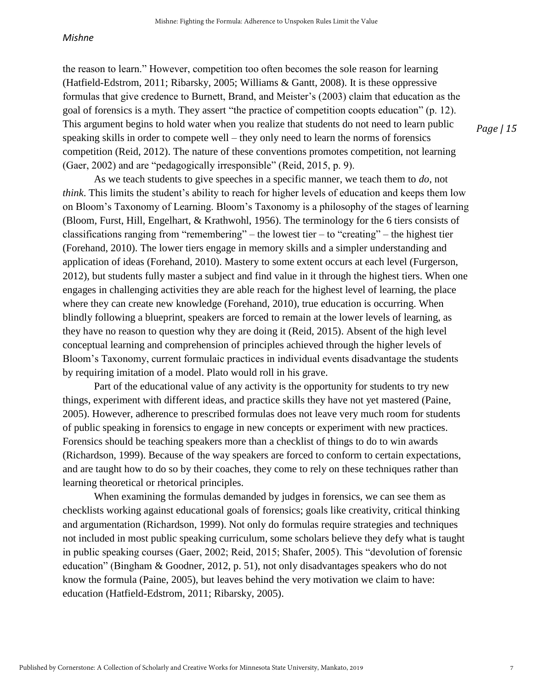the reason to learn." However, competition too often becomes the sole reason for learning (Hatfield-Edstrom, 2011; Ribarsky, 2005; Williams & Gantt, 2008). It is these oppressive formulas that give credence to Burnett, Brand, and Meister's (2003) claim that education as the goal of forensics is a myth. They assert "the practice of competition coopts education" (p. 12). This argument begins to hold water when you realize that students do not need to learn public speaking skills in order to compete well – they only need to learn the norms of forensics competition (Reid, 2012). The nature of these conventions promotes competition, not learning (Gaer, 2002) and are "pedagogically irresponsible" (Reid, 2015, p. 9).

As we teach students to give speeches in a specific manner, we teach them to *do*, not *think*. This limits the student's ability to reach for higher levels of education and keeps them low on Bloom's Taxonomy of Learning. Bloom's Taxonomy is a philosophy of the stages of learning (Bloom, Furst, Hill, Engelhart, & Krathwohl, 1956). The terminology for the 6 tiers consists of classifications ranging from "remembering" – the lowest tier – to "creating" – the highest tier (Forehand, 2010). The lower tiers engage in memory skills and a simpler understanding and application of ideas (Forehand, 2010). Mastery to some extent occurs at each level (Furgerson, 2012), but students fully master a subject and find value in it through the highest tiers. When one engages in challenging activities they are able reach for the highest level of learning, the place where they can create new knowledge (Forehand, 2010), true education is occurring. When blindly following a blueprint, speakers are forced to remain at the lower levels of learning, as they have no reason to question why they are doing it (Reid, 2015). Absent of the high level conceptual learning and comprehension of principles achieved through the higher levels of Bloom's Taxonomy, current formulaic practices in individual events disadvantage the students by requiring imitation of a model. Plato would roll in his grave.

Part of the educational value of any activity is the opportunity for students to try new things, experiment with different ideas, and practice skills they have not yet mastered (Paine, 2005). However, adherence to prescribed formulas does not leave very much room for students of public speaking in forensics to engage in new concepts or experiment with new practices. Forensics should be teaching speakers more than a checklist of things to do to win awards (Richardson, 1999). Because of the way speakers are forced to conform to certain expectations, and are taught how to do so by their coaches, they come to rely on these techniques rather than learning theoretical or rhetorical principles.

When examining the formulas demanded by judges in forensics, we can see them as checklists working against educational goals of forensics; goals like creativity, critical thinking and argumentation (Richardson, 1999). Not only do formulas require strategies and techniques not included in most public speaking curriculum, some scholars believe they defy what is taught in public speaking courses (Gaer, 2002; Reid, 2015; Shafer, 2005). This "devolution of forensic education" (Bingham & Goodner, 2012, p. 51), not only disadvantages speakers who do not know the formula (Paine, 2005), but leaves behind the very motivation we claim to have: education (Hatfield-Edstrom, 2011; Ribarsky, 2005).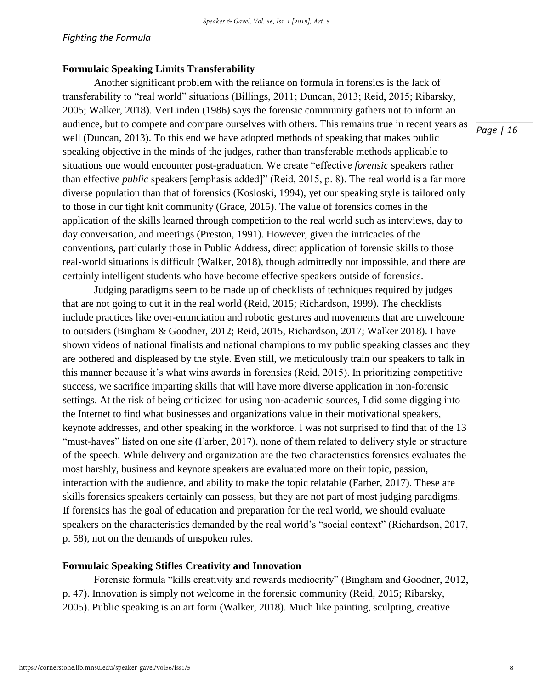# **Formulaic Speaking Limits Transferability**

Another significant problem with the reliance on formula in forensics is the lack of transferability to "real world" situations (Billings, 2011; Duncan, 2013; Reid, 2015; Ribarsky, 2005; Walker, 2018). VerLinden (1986) says the forensic community gathers not to inform an audience, but to compete and compare ourselves with others. This remains true in recent years as well (Duncan, 2013). To this end we have adopted methods of speaking that makes public speaking objective in the minds of the judges, rather than transferable methods applicable to situations one would encounter post-graduation. We create "effective *forensic* speakers rather than effective *public* speakers [emphasis added]" (Reid, 2015, p. 8). The real world is a far more diverse population than that of forensics (Kosloski, 1994), yet our speaking style is tailored only to those in our tight knit community (Grace, 2015). The value of forensics comes in the application of the skills learned through competition to the real world such as interviews, day to day conversation, and meetings (Preston, 1991). However, given the intricacies of the conventions, particularly those in Public Address, direct application of forensic skills to those real-world situations is difficult (Walker, 2018), though admittedly not impossible, and there are certainly intelligent students who have become effective speakers outside of forensics.

Judging paradigms seem to be made up of checklists of techniques required by judges that are not going to cut it in the real world (Reid, 2015; Richardson, 1999). The checklists include practices like over-enunciation and robotic gestures and movements that are unwelcome to outsiders (Bingham & Goodner, 2012; Reid, 2015, Richardson, 2017; Walker 2018). I have shown videos of national finalists and national champions to my public speaking classes and they are bothered and displeased by the style. Even still, we meticulously train our speakers to talk in this manner because it's what wins awards in forensics (Reid, 2015). In prioritizing competitive success, we sacrifice imparting skills that will have more diverse application in non-forensic settings. At the risk of being criticized for using non-academic sources, I did some digging into the Internet to find what businesses and organizations value in their motivational speakers, keynote addresses, and other speaking in the workforce. I was not surprised to find that of the 13 "must-haves" listed on one site (Farber, 2017), none of them related to delivery style or structure of the speech. While delivery and organization are the two characteristics forensics evaluates the most harshly, business and keynote speakers are evaluated more on their topic, passion, interaction with the audience, and ability to make the topic relatable (Farber, 2017). These are skills forensics speakers certainly can possess, but they are not part of most judging paradigms. If forensics has the goal of education and preparation for the real world, we should evaluate speakers on the characteristics demanded by the real world's "social context" (Richardson, 2017, p. 58), not on the demands of unspoken rules.

# **Formulaic Speaking Stifles Creativity and Innovation**

Forensic formula "kills creativity and rewards mediocrity" (Bingham and Goodner, 2012, p. 47). Innovation is simply not welcome in the forensic community (Reid, 2015; Ribarsky, 2005). Public speaking is an art form (Walker, 2018). Much like painting, sculpting, creative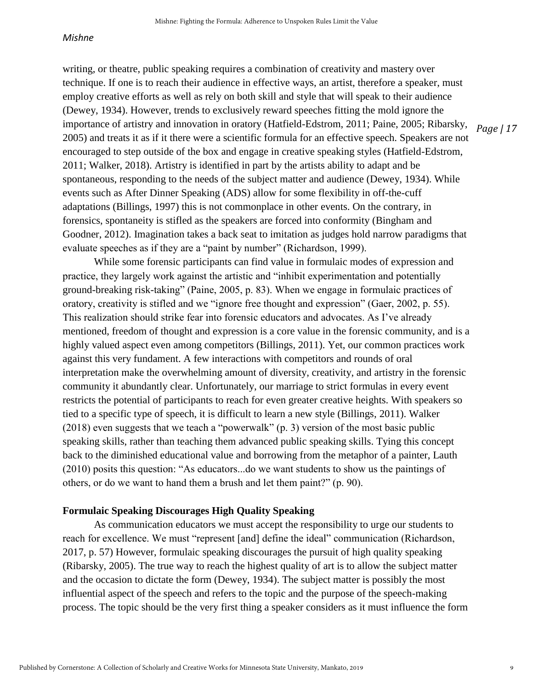writing, or theatre, public speaking requires a combination of creativity and mastery over technique. If one is to reach their audience in effective ways, an artist, therefore a speaker, must employ creative efforts as well as rely on both skill and style that will speak to their audience (Dewey, 1934). However, trends to exclusively reward speeches fitting the mold ignore the importance of artistry and innovation in oratory (Hatfield-Edstrom, 2011; Paine, 2005; Ribarsky, 2005) and treats it as if it there were a scientific formula for an effective speech. Speakers are not encouraged to step outside of the box and engage in creative speaking styles (Hatfield-Edstrom, 2011; Walker, 2018). Artistry is identified in part by the artists ability to adapt and be spontaneous, responding to the needs of the subject matter and audience (Dewey, 1934). While events such as After Dinner Speaking (ADS) allow for some flexibility in off-the-cuff adaptations (Billings, 1997) this is not commonplace in other events. On the contrary, in forensics, spontaneity is stifled as the speakers are forced into conformity (Bingham and Goodner, 2012). Imagination takes a back seat to imitation as judges hold narrow paradigms that evaluate speeches as if they are a "paint by number" (Richardson, 1999).

While some forensic participants can find value in formulaic modes of expression and practice, they largely work against the artistic and "inhibit experimentation and potentially ground-breaking risk-taking" (Paine, 2005, p. 83). When we engage in formulaic practices of oratory, creativity is stifled and we "ignore free thought and expression" (Gaer, 2002, p. 55). This realization should strike fear into forensic educators and advocates. As I've already mentioned, freedom of thought and expression is a core value in the forensic community, and is a highly valued aspect even among competitors (Billings, 2011). Yet, our common practices work against this very fundament. A few interactions with competitors and rounds of oral interpretation make the overwhelming amount of diversity, creativity, and artistry in the forensic community it abundantly clear. Unfortunately, our marriage to strict formulas in every event restricts the potential of participants to reach for even greater creative heights. With speakers so tied to a specific type of speech, it is difficult to learn a new style (Billings, 2011). Walker (2018) even suggests that we teach a "powerwalk" (p. 3) version of the most basic public speaking skills, rather than teaching them advanced public speaking skills. Tying this concept back to the diminished educational value and borrowing from the metaphor of a painter, Lauth (2010) posits this question: "As educators...do we want students to show us the paintings of others, or do we want to hand them a brush and let them paint?" (p. 90).

## **Formulaic Speaking Discourages High Quality Speaking**

As communication educators we must accept the responsibility to urge our students to reach for excellence. We must "represent [and] define the ideal" communication (Richardson, 2017, p. 57) However, formulaic speaking discourages the pursuit of high quality speaking (Ribarsky, 2005). The true way to reach the highest quality of art is to allow the subject matter and the occasion to dictate the form (Dewey, 1934). The subject matter is possibly the most influential aspect of the speech and refers to the topic and the purpose of the speech-making process. The topic should be the very first thing a speaker considers as it must influence the form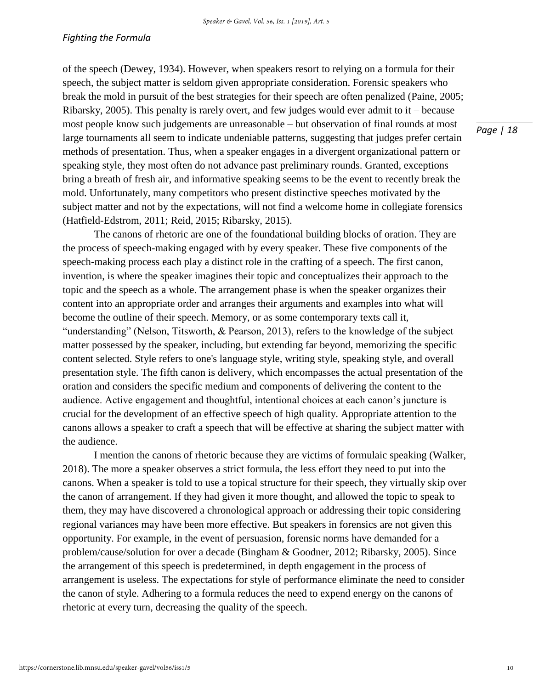of the speech (Dewey, 1934). However, when speakers resort to relying on a formula for their speech, the subject matter is seldom given appropriate consideration. Forensic speakers who break the mold in pursuit of the best strategies for their speech are often penalized (Paine, 2005; Ribarsky, 2005). This penalty is rarely overt, and few judges would ever admit to it – because most people know such judgements are unreasonable – but observation of final rounds at most large tournaments all seem to indicate undeniable patterns, suggesting that judges prefer certain methods of presentation. Thus, when a speaker engages in a divergent organizational pattern or speaking style, they most often do not advance past preliminary rounds. Granted, exceptions bring a breath of fresh air, and informative speaking seems to be the event to recently break the mold. Unfortunately, many competitors who present distinctive speeches motivated by the subject matter and not by the expectations, will not find a welcome home in collegiate forensics (Hatfield-Edstrom, 2011; Reid, 2015; Ribarsky, 2015).

The canons of rhetoric are one of the foundational building blocks of oration. They are the process of speech-making engaged with by every speaker. These five components of the speech-making process each play a distinct role in the crafting of a speech. The first canon, invention, is where the speaker imagines their topic and conceptualizes their approach to the topic and the speech as a whole. The arrangement phase is when the speaker organizes their content into an appropriate order and arranges their arguments and examples into what will become the outline of their speech. Memory, or as some contemporary texts call it, "understanding" (Nelson, Titsworth, & Pearson, 2013), refers to the knowledge of the subject matter possessed by the speaker, including, but extending far beyond, memorizing the specific content selected. Style refers to one's language style, writing style, speaking style, and overall presentation style. The fifth canon is delivery, which encompasses the actual presentation of the oration and considers the specific medium and components of delivering the content to the audience. Active engagement and thoughtful, intentional choices at each canon's juncture is crucial for the development of an effective speech of high quality. Appropriate attention to the canons allows a speaker to craft a speech that will be effective at sharing the subject matter with the audience.

I mention the canons of rhetoric because they are victims of formulaic speaking (Walker, 2018). The more a speaker observes a strict formula, the less effort they need to put into the canons. When a speaker is told to use a topical structure for their speech, they virtually skip over the canon of arrangement. If they had given it more thought, and allowed the topic to speak to them, they may have discovered a chronological approach or addressing their topic considering regional variances may have been more effective. But speakers in forensics are not given this opportunity. For example, in the event of persuasion, forensic norms have demanded for a problem/cause/solution for over a decade (Bingham & Goodner, 2012; Ribarsky, 2005). Since the arrangement of this speech is predetermined, in depth engagement in the process of arrangement is useless. The expectations for style of performance eliminate the need to consider the canon of style. Adhering to a formula reduces the need to expend energy on the canons of rhetoric at every turn, decreasing the quality of the speech.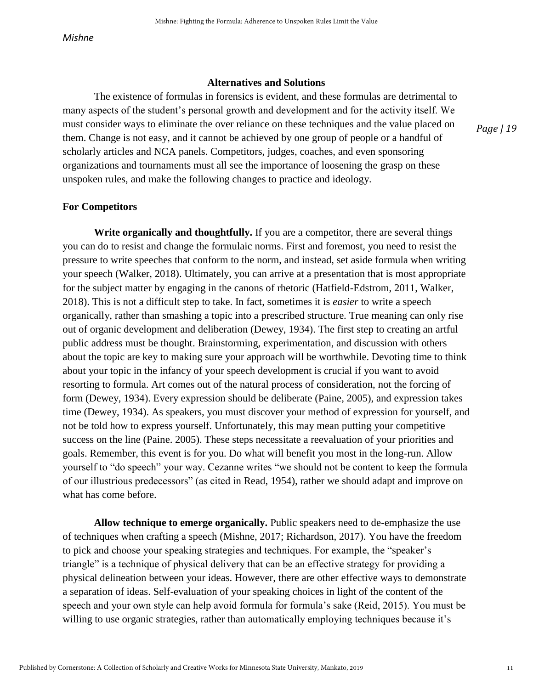#### **Alternatives and Solutions**

 The existence of formulas in forensics is evident, and these formulas are detrimental to many aspects of the student's personal growth and development and for the activity itself. We must consider ways to eliminate the over reliance on these techniques and the value placed on them. Change is not easy, and it cannot be achieved by one group of people or a handful of scholarly articles and NCA panels. Competitors, judges, coaches, and even sponsoring organizations and tournaments must all see the importance of loosening the grasp on these unspoken rules, and make the following changes to practice and ideology.

#### **For Competitors**

**Write organically and thoughtfully.** If you are a competitor, there are several things you can do to resist and change the formulaic norms. First and foremost, you need to resist the pressure to write speeches that conform to the norm, and instead, set aside formula when writing your speech (Walker, 2018). Ultimately, you can arrive at a presentation that is most appropriate for the subject matter by engaging in the canons of rhetoric (Hatfield-Edstrom, 2011, Walker, 2018). This is not a difficult step to take. In fact, sometimes it is *easier* to write a speech organically, rather than smashing a topic into a prescribed structure. True meaning can only rise out of organic development and deliberation (Dewey, 1934). The first step to creating an artful public address must be thought. Brainstorming, experimentation, and discussion with others about the topic are key to making sure your approach will be worthwhile. Devoting time to think about your topic in the infancy of your speech development is crucial if you want to avoid resorting to formula. Art comes out of the natural process of consideration, not the forcing of form (Dewey, 1934). Every expression should be deliberate (Paine, 2005), and expression takes time (Dewey, 1934). As speakers, you must discover your method of expression for yourself, and not be told how to express yourself. Unfortunately, this may mean putting your competitive success on the line (Paine. 2005). These steps necessitate a reevaluation of your priorities and goals. Remember, this event is for you. Do what will benefit you most in the long-run. Allow yourself to "do speech" your way. Cezanne writes "we should not be content to keep the formula of our illustrious predecessors" (as cited in Read, 1954), rather we should adapt and improve on what has come before.

**Allow technique to emerge organically.** Public speakers need to de-emphasize the use of techniques when crafting a speech (Mishne, 2017; Richardson, 2017). You have the freedom to pick and choose your speaking strategies and techniques. For example, the "speaker's triangle" is a technique of physical delivery that can be an effective strategy for providing a physical delineation between your ideas. However, there are other effective ways to demonstrate a separation of ideas. Self-evaluation of your speaking choices in light of the content of the speech and your own style can help avoid formula for formula's sake (Reid, 2015). You must be willing to use organic strategies, rather than automatically employing techniques because it's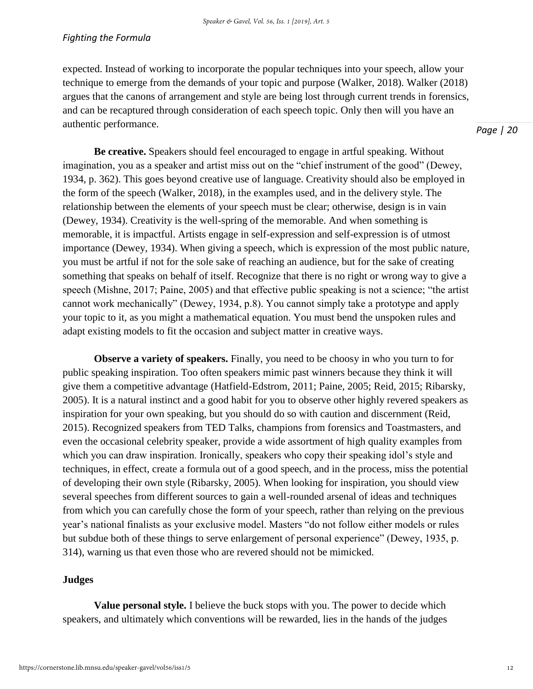### *Fighting the Formula*

expected. Instead of working to incorporate the popular techniques into your speech, allow your technique to emerge from the demands of your topic and purpose (Walker, 2018). Walker (2018) argues that the canons of arrangement and style are being lost through current trends in forensics, and can be recaptured through consideration of each speech topic. Only then will you have an authentic performance.

*Page | 20*

**Be creative.** Speakers should feel encouraged to engage in artful speaking. Without imagination, you as a speaker and artist miss out on the "chief instrument of the good" (Dewey, 1934, p. 362). This goes beyond creative use of language. Creativity should also be employed in the form of the speech (Walker, 2018), in the examples used, and in the delivery style. The relationship between the elements of your speech must be clear; otherwise, design is in vain (Dewey, 1934). Creativity is the well-spring of the memorable. And when something is memorable, it is impactful. Artists engage in self-expression and self-expression is of utmost importance (Dewey, 1934). When giving a speech, which is expression of the most public nature, you must be artful if not for the sole sake of reaching an audience, but for the sake of creating something that speaks on behalf of itself. Recognize that there is no right or wrong way to give a speech (Mishne, 2017; Paine, 2005) and that effective public speaking is not a science; "the artist cannot work mechanically" (Dewey, 1934, p.8). You cannot simply take a prototype and apply your topic to it, as you might a mathematical equation. You must bend the unspoken rules and adapt existing models to fit the occasion and subject matter in creative ways.

**Observe a variety of speakers.** Finally, you need to be choosy in who you turn to for public speaking inspiration. Too often speakers mimic past winners because they think it will give them a competitive advantage (Hatfield-Edstrom, 2011; Paine, 2005; Reid, 2015; Ribarsky, 2005). It is a natural instinct and a good habit for you to observe other highly revered speakers as inspiration for your own speaking, but you should do so with caution and discernment (Reid, 2015). Recognized speakers from TED Talks, champions from forensics and Toastmasters, and even the occasional celebrity speaker, provide a wide assortment of high quality examples from which you can draw inspiration. Ironically, speakers who copy their speaking idol's style and techniques, in effect, create a formula out of a good speech, and in the process, miss the potential of developing their own style (Ribarsky, 2005). When looking for inspiration, you should view several speeches from different sources to gain a well-rounded arsenal of ideas and techniques from which you can carefully chose the form of your speech, rather than relying on the previous year's national finalists as your exclusive model. Masters "do not follow either models or rules but subdue both of these things to serve enlargement of personal experience" (Dewey, 1935, p. 314), warning us that even those who are revered should not be mimicked.

# **Judges**

**Value personal style.** I believe the buck stops with you. The power to decide which speakers, and ultimately which conventions will be rewarded, lies in the hands of the judges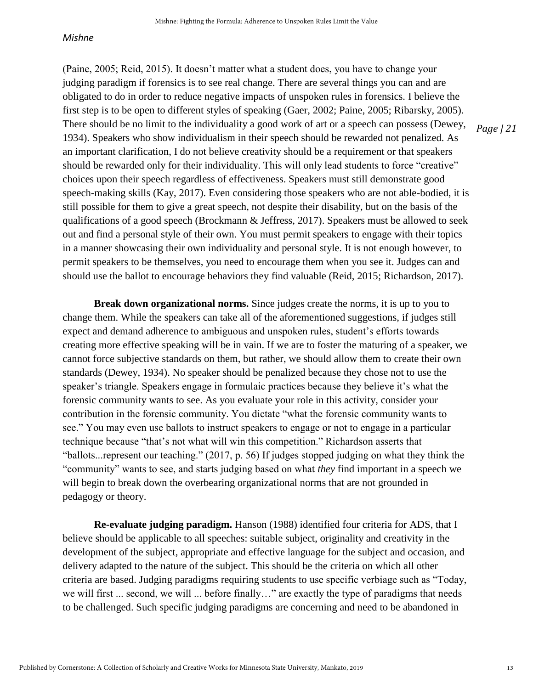(Paine, 2005; Reid, 2015). It doesn't matter what a student does, you have to change your judging paradigm if forensics is to see real change. There are several things you can and are obligated to do in order to reduce negative impacts of unspoken rules in forensics. I believe the first step is to be open to different styles of speaking (Gaer, 2002; Paine, 2005; Ribarsky, 2005). There should be no limit to the individuality a good work of art or a speech can possess (Dewey, 1934). Speakers who show individualism in their speech should be rewarded not penalized. As an important clarification, I do not believe creativity should be a requirement or that speakers should be rewarded only for their individuality. This will only lead students to force "creative" choices upon their speech regardless of effectiveness. Speakers must still demonstrate good speech-making skills (Kay, 2017). Even considering those speakers who are not able-bodied, it is still possible for them to give a great speech, not despite their disability, but on the basis of the qualifications of a good speech (Brockmann & Jeffress, 2017). Speakers must be allowed to seek out and find a personal style of their own. You must permit speakers to engage with their topics in a manner showcasing their own individuality and personal style. It is not enough however, to permit speakers to be themselves, you need to encourage them when you see it. Judges can and should use the ballot to encourage behaviors they find valuable (Reid, 2015; Richardson, 2017).

**Break down organizational norms.** Since judges create the norms, it is up to you to change them. While the speakers can take all of the aforementioned suggestions, if judges still expect and demand adherence to ambiguous and unspoken rules, student's efforts towards creating more effective speaking will be in vain. If we are to foster the maturing of a speaker, we cannot force subjective standards on them, but rather, we should allow them to create their own standards (Dewey, 1934). No speaker should be penalized because they chose not to use the speaker's triangle. Speakers engage in formulaic practices because they believe it's what the forensic community wants to see. As you evaluate your role in this activity, consider your contribution in the forensic community. You dictate "what the forensic community wants to see." You may even use ballots to instruct speakers to engage or not to engage in a particular technique because "that's not what will win this competition." Richardson asserts that "ballots...represent our teaching." (2017, p. 56) If judges stopped judging on what they think the "community" wants to see, and starts judging based on what *they* find important in a speech we will begin to break down the overbearing organizational norms that are not grounded in pedagogy or theory.

**Re-evaluate judging paradigm.** Hanson (1988) identified four criteria for ADS, that I believe should be applicable to all speeches: suitable subject, originality and creativity in the development of the subject, appropriate and effective language for the subject and occasion, and delivery adapted to the nature of the subject. This should be the criteria on which all other criteria are based. Judging paradigms requiring students to use specific verbiage such as "Today, we will first ... second, we will ... before finally…" are exactly the type of paradigms that needs to be challenged. Such specific judging paradigms are concerning and need to be abandoned in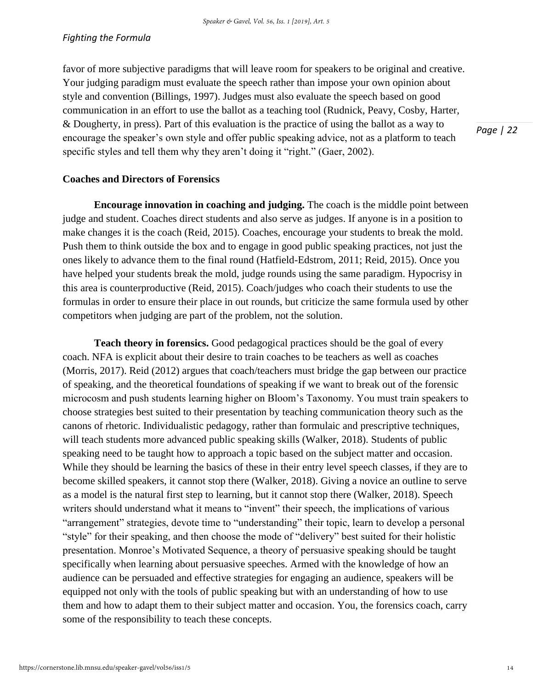favor of more subjective paradigms that will leave room for speakers to be original and creative. Your judging paradigm must evaluate the speech rather than impose your own opinion about style and convention (Billings, 1997). Judges must also evaluate the speech based on good communication in an effort to use the ballot as a teaching tool (Rudnick, Peavy, Cosby, Harter, & Dougherty, in press). Part of this evaluation is the practice of using the ballot as a way to encourage the speaker's own style and offer public speaking advice, not as a platform to teach specific styles and tell them why they aren't doing it "right." (Gaer, 2002).

**Coaches and Directors of Forensics** 

**Encourage innovation in coaching and judging.** The coach is the middle point between judge and student. Coaches direct students and also serve as judges. If anyone is in a position to make changes it is the coach (Reid, 2015). Coaches, encourage your students to break the mold. Push them to think outside the box and to engage in good public speaking practices, not just the ones likely to advance them to the final round (Hatfield-Edstrom, 2011; Reid, 2015). Once you have helped your students break the mold, judge rounds using the same paradigm. Hypocrisy in this area is counterproductive (Reid, 2015). Coach/judges who coach their students to use the formulas in order to ensure their place in out rounds, but criticize the same formula used by other competitors when judging are part of the problem, not the solution.

**Teach theory in forensics.** Good pedagogical practices should be the goal of every coach. NFA is explicit about their desire to train coaches to be teachers as well as coaches (Morris, 2017). Reid (2012) argues that coach/teachers must bridge the gap between our practice of speaking, and the theoretical foundations of speaking if we want to break out of the forensic microcosm and push students learning higher on Bloom's Taxonomy. You must train speakers to choose strategies best suited to their presentation by teaching communication theory such as the canons of rhetoric. Individualistic pedagogy, rather than formulaic and prescriptive techniques, will teach students more advanced public speaking skills (Walker, 2018). Students of public speaking need to be taught how to approach a topic based on the subject matter and occasion. While they should be learning the basics of these in their entry level speech classes, if they are to become skilled speakers, it cannot stop there (Walker, 2018). Giving a novice an outline to serve as a model is the natural first step to learning, but it cannot stop there (Walker, 2018). Speech writers should understand what it means to "invent" their speech, the implications of various "arrangement" strategies, devote time to "understanding" their topic, learn to develop a personal "style" for their speaking, and then choose the mode of "delivery" best suited for their holistic presentation. Monroe's Motivated Sequence, a theory of persuasive speaking should be taught specifically when learning about persuasive speeches. Armed with the knowledge of how an audience can be persuaded and effective strategies for engaging an audience, speakers will be equipped not only with the tools of public speaking but with an understanding of how to use them and how to adapt them to their subject matter and occasion. You, the forensics coach, carry some of the responsibility to teach these concepts.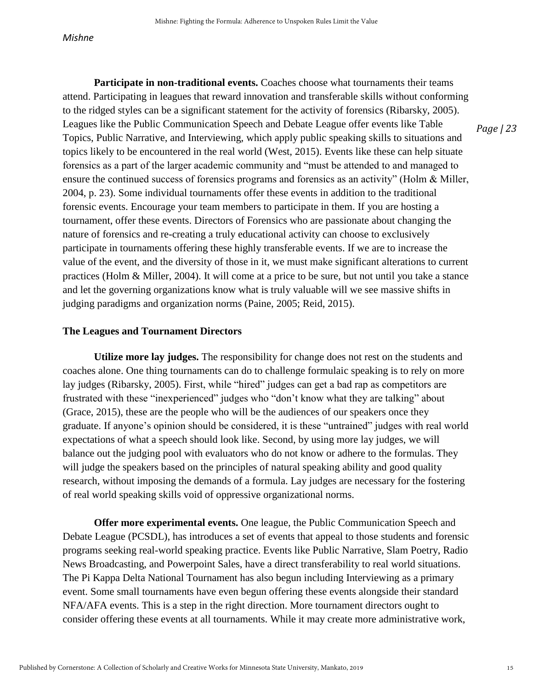**Participate in non-traditional events.** Coaches choose what tournaments their teams attend. Participating in leagues that reward innovation and transferable skills without conforming to the ridged styles can be a significant statement for the activity of forensics (Ribarsky, 2005). Leagues like the Public Communication Speech and Debate League offer events like Table Topics, Public Narrative, and Interviewing, which apply public speaking skills to situations and topics likely to be encountered in the real world (West, 2015). Events like these can help situate forensics as a part of the larger academic community and "must be attended to and managed to ensure the continued success of forensics programs and forensics as an activity" (Holm & Miller, 2004, p. 23). Some individual tournaments offer these events in addition to the traditional forensic events. Encourage your team members to participate in them. If you are hosting a tournament, offer these events. Directors of Forensics who are passionate about changing the nature of forensics and re-creating a truly educational activity can choose to exclusively participate in tournaments offering these highly transferable events. If we are to increase the value of the event, and the diversity of those in it, we must make significant alterations to current practices (Holm & Miller, 2004). It will come at a price to be sure, but not until you take a stance and let the governing organizations know what is truly valuable will we see massive shifts in judging paradigms and organization norms (Paine, 2005; Reid, 2015).

#### **The Leagues and Tournament Directors**

**Utilize more lay judges.** The responsibility for change does not rest on the students and coaches alone. One thing tournaments can do to challenge formulaic speaking is to rely on more lay judges (Ribarsky, 2005). First, while "hired" judges can get a bad rap as competitors are frustrated with these "inexperienced" judges who "don't know what they are talking" about (Grace, 2015), these are the people who will be the audiences of our speakers once they graduate. If anyone's opinion should be considered, it is these "untrained" judges with real world expectations of what a speech should look like. Second, by using more lay judges, we will balance out the judging pool with evaluators who do not know or adhere to the formulas. They will judge the speakers based on the principles of natural speaking ability and good quality research, without imposing the demands of a formula. Lay judges are necessary for the fostering of real world speaking skills void of oppressive organizational norms.

**Offer more experimental events.** One league, the Public Communication Speech and Debate League (PCSDL), has introduces a set of events that appeal to those students and forensic programs seeking real-world speaking practice. Events like Public Narrative, Slam Poetry, Radio News Broadcasting, and Powerpoint Sales, have a direct transferability to real world situations. The Pi Kappa Delta National Tournament has also begun including Interviewing as a primary event. Some small tournaments have even begun offering these events alongside their standard NFA/AFA events. This is a step in the right direction. More tournament directors ought to consider offering these events at all tournaments. While it may create more administrative work,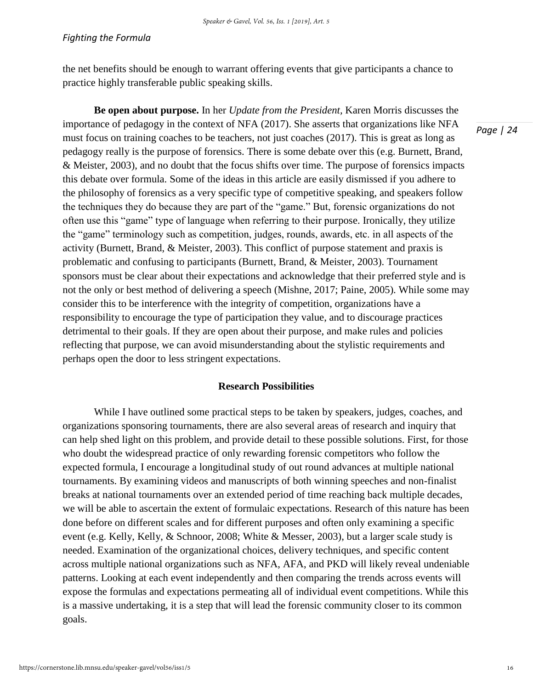the net benefits should be enough to warrant offering events that give participants a chance to practice highly transferable public speaking skills.

**Be open about purpose.** In her *Update from the President,* Karen Morris discusses the importance of pedagogy in the context of NFA (2017). She asserts that organizations like NFA must focus on training coaches to be teachers, not just coaches (2017). This is great as long as pedagogy really is the purpose of forensics. There is some debate over this (e.g. Burnett, Brand, & Meister, 2003), and no doubt that the focus shifts over time. The purpose of forensics impacts this debate over formula. Some of the ideas in this article are easily dismissed if you adhere to the philosophy of forensics as a very specific type of competitive speaking, and speakers follow the techniques they do because they are part of the "game." But, forensic organizations do not often use this "game" type of language when referring to their purpose. Ironically, they utilize the "game" terminology such as competition, judges, rounds, awards, etc. in all aspects of the activity (Burnett, Brand, & Meister, 2003). This conflict of purpose statement and praxis is problematic and confusing to participants (Burnett, Brand, & Meister, 2003). Tournament sponsors must be clear about their expectations and acknowledge that their preferred style and is not the only or best method of delivering a speech (Mishne, 2017; Paine, 2005). While some may consider this to be interference with the integrity of competition, organizations have a responsibility to encourage the type of participation they value, and to discourage practices detrimental to their goals. If they are open about their purpose, and make rules and policies reflecting that purpose, we can avoid misunderstanding about the stylistic requirements and perhaps open the door to less stringent expectations.

### **Research Possibilities**

While I have outlined some practical steps to be taken by speakers, judges, coaches, and organizations sponsoring tournaments, there are also several areas of research and inquiry that can help shed light on this problem, and provide detail to these possible solutions. First, for those who doubt the widespread practice of only rewarding forensic competitors who follow the expected formula, I encourage a longitudinal study of out round advances at multiple national tournaments. By examining videos and manuscripts of both winning speeches and non-finalist breaks at national tournaments over an extended period of time reaching back multiple decades, we will be able to ascertain the extent of formulaic expectations. Research of this nature has been done before on different scales and for different purposes and often only examining a specific event (e.g. Kelly, Kelly, & Schnoor, 2008; White & Messer, 2003), but a larger scale study is needed. Examination of the organizational choices, delivery techniques, and specific content across multiple national organizations such as NFA, AFA, and PKD will likely reveal undeniable patterns. Looking at each event independently and then comparing the trends across events will expose the formulas and expectations permeating all of individual event competitions. While this is a massive undertaking, it is a step that will lead the forensic community closer to its common goals.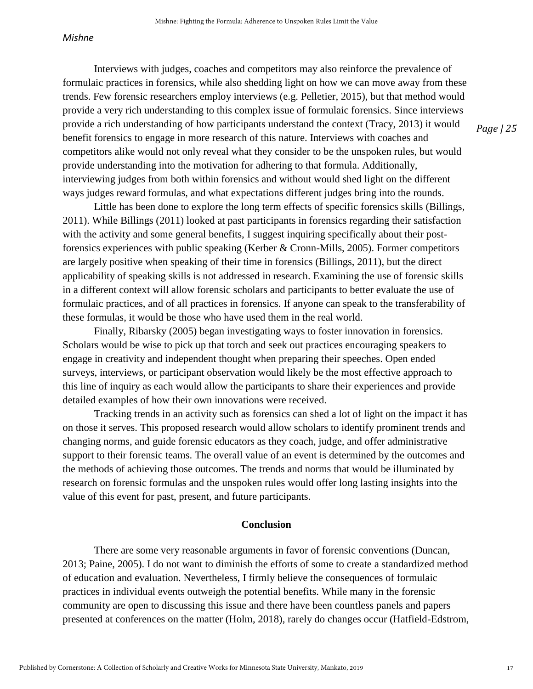Interviews with judges, coaches and competitors may also reinforce the prevalence of formulaic practices in forensics, while also shedding light on how we can move away from these trends. Few forensic researchers employ interviews (e.g. Pelletier, 2015), but that method would provide a very rich understanding to this complex issue of formulaic forensics. Since interviews provide a rich understanding of how participants understand the context (Tracy, 2013) it would benefit forensics to engage in more research of this nature. Interviews with coaches and competitors alike would not only reveal what they consider to be the unspoken rules, but would provide understanding into the motivation for adhering to that formula. Additionally, interviewing judges from both within forensics and without would shed light on the different ways judges reward formulas, and what expectations different judges bring into the rounds.

Little has been done to explore the long term effects of specific forensics skills (Billings, 2011). While Billings (2011) looked at past participants in forensics regarding their satisfaction with the activity and some general benefits, I suggest inquiring specifically about their postforensics experiences with public speaking (Kerber & Cronn-Mills, 2005). Former competitors are largely positive when speaking of their time in forensics (Billings, 2011), but the direct applicability of speaking skills is not addressed in research. Examining the use of forensic skills in a different context will allow forensic scholars and participants to better evaluate the use of formulaic practices, and of all practices in forensics. If anyone can speak to the transferability of these formulas, it would be those who have used them in the real world.

Finally, Ribarsky (2005) began investigating ways to foster innovation in forensics. Scholars would be wise to pick up that torch and seek out practices encouraging speakers to engage in creativity and independent thought when preparing their speeches. Open ended surveys, interviews, or participant observation would likely be the most effective approach to this line of inquiry as each would allow the participants to share their experiences and provide detailed examples of how their own innovations were received.

Tracking trends in an activity such as forensics can shed a lot of light on the impact it has on those it serves. This proposed research would allow scholars to identify prominent trends and changing norms, and guide forensic educators as they coach, judge, and offer administrative support to their forensic teams. The overall value of an event is determined by the outcomes and the methods of achieving those outcomes. The trends and norms that would be illuminated by research on forensic formulas and the unspoken rules would offer long lasting insights into the value of this event for past, present, and future participants.

#### **Conclusion**

There are some very reasonable arguments in favor of forensic conventions (Duncan, 2013; Paine, 2005). I do not want to diminish the efforts of some to create a standardized method of education and evaluation. Nevertheless, I firmly believe the consequences of formulaic practices in individual events outweigh the potential benefits. While many in the forensic community are open to discussing this issue and there have been countless panels and papers presented at conferences on the matter (Holm, 2018), rarely do changes occur (Hatfield-Edstrom,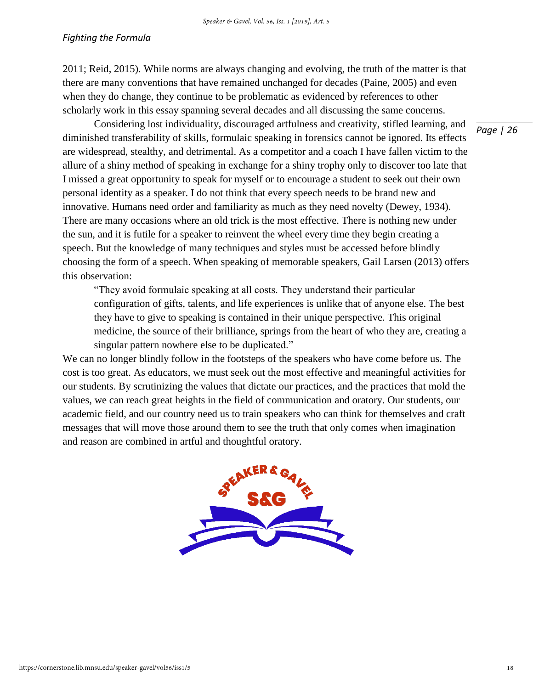2011; Reid, 2015). While norms are always changing and evolving, the truth of the matter is that there are many conventions that have remained unchanged for decades (Paine, 2005) and even when they do change, they continue to be problematic as evidenced by references to other scholarly work in this essay spanning several decades and all discussing the same concerns.

Considering lost individuality, discouraged artfulness and creativity, stifled learning, and diminished transferability of skills, formulaic speaking in forensics cannot be ignored. Its effects are widespread, stealthy, and detrimental. As a competitor and a coach I have fallen victim to the allure of a shiny method of speaking in exchange for a shiny trophy only to discover too late that I missed a great opportunity to speak for myself or to encourage a student to seek out their own personal identity as a speaker. I do not think that every speech needs to be brand new and innovative. Humans need order and familiarity as much as they need novelty (Dewey, 1934). There are many occasions where an old trick is the most effective. There is nothing new under the sun, and it is futile for a speaker to reinvent the wheel every time they begin creating a speech. But the knowledge of many techniques and styles must be accessed before blindly choosing the form of a speech. When speaking of memorable speakers, Gail Larsen (2013) offers this observation:

"They avoid formulaic speaking at all costs. They understand their particular configuration of gifts, talents, and life experiences is unlike that of anyone else. The best they have to give to speaking is contained in their unique perspective. This original medicine, the source of their brilliance, springs from the heart of who they are, creating a singular pattern nowhere else to be duplicated."

We can no longer blindly follow in the footsteps of the speakers who have come before us. The cost is too great. As educators, we must seek out the most effective and meaningful activities for our students. By scrutinizing the values that dictate our practices, and the practices that mold the values, we can reach great heights in the field of communication and oratory. Our students, our academic field, and our country need us to train speakers who can think for themselves and craft messages that will move those around them to see the truth that only comes when imagination and reason are combined in artful and thoughtful oratory.

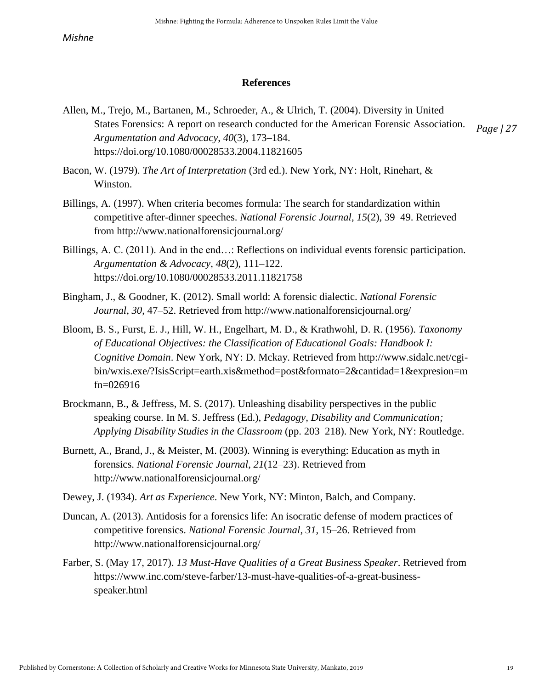### **References**

- *Page | 27* Allen, M., Trejo, M., Bartanen, M., Schroeder, A., & Ulrich, T. (2004). Diversity in United States Forensics: A report on research conducted for the American Forensic Association. *Argumentation and Advocacy*, *40*(3), 173–184. https://doi.org/10.1080/00028533.2004.11821605
- Bacon, W. (1979). *The Art of Interpretation* (3rd ed.). New York, NY: Holt, Rinehart, & Winston.
- Billings, A. (1997). When criteria becomes formula: The search for standardization within competitive after-dinner speeches. *National Forensic Journal*, *15*(2), 39–49. Retrieved from http://www.nationalforensicjournal.org/
- Billings, A. C. (2011). And in the end…: Reflections on individual events forensic participation. *Argumentation & Advocacy*, *48*(2), 111–122. https://doi.org/10.1080/00028533.2011.11821758
- Bingham, J., & Goodner, K. (2012). Small world: A forensic dialectic. *National Forensic Journal*, *30*, 47–52. Retrieved from http://www.nationalforensicjournal.org/
- Bloom, B. S., Furst, E. J., Hill, W. H., Engelhart, M. D., & Krathwohl, D. R. (1956). *Taxonomy of Educational Objectives: the Classification of Educational Goals: Handbook I: Cognitive Domain*. New York, NY: D. Mckay. Retrieved from http://www.sidalc.net/cgibin/wxis.exe/?IsisScript=earth.xis&method=post&formato=2&cantidad=1&expresion=m fn=026916
- Brockmann, B., & Jeffress, M. S. (2017). Unleashing disability perspectives in the public speaking course. In M. S. Jeffress (Ed.), *Pedagogy, Disability and Communication; Applying Disability Studies in the Classroom* (pp. 203–218). New York, NY: Routledge.
- Burnett, A., Brand, J., & Meister, M. (2003). Winning is everything: Education as myth in forensics. *National Forensic Journal*, *21*(12–23). Retrieved from http://www.nationalforensicjournal.org/
- Dewey, J. (1934). *Art as Experience*. New York, NY: Minton, Balch, and Company.
- Duncan, A. (2013). Antidosis for a forensics life: An isocratic defense of modern practices of competitive forensics. *National Forensic Journal*, *31*, 15–26. Retrieved from http://www.nationalforensicjournal.org/
- Farber, S. (May 17, 2017). *13 Must-Have Qualities of a Great Business Speaker*. Retrieved from https://www.inc.com/steve-farber/13-must-have-qualities-of-a-great-businessspeaker.html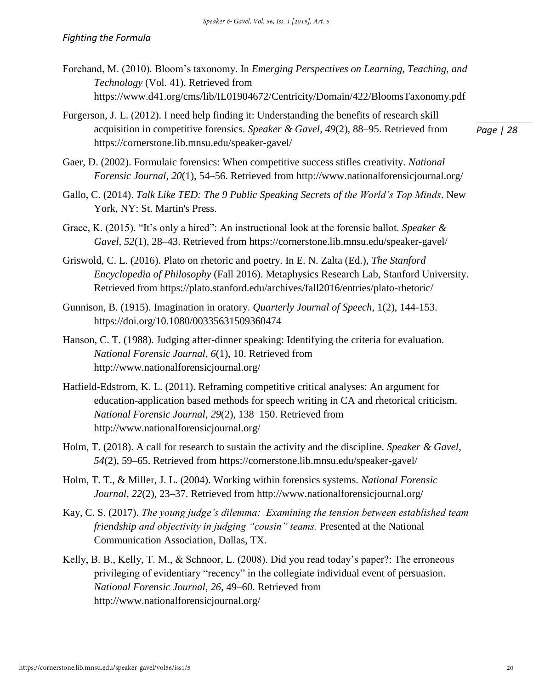- Forehand, M. (2010). Bloom's taxonomy. In *Emerging Perspectives on Learning, Teaching, and Technology* (Vol. 41). Retrieved from https://www.d41.org/cms/lib/IL01904672/Centricity/Domain/422/BloomsTaxonomy.pdf
- *Page | 28* Furgerson, J. L. (2012). I need help finding it: Understanding the benefits of research skill acquisition in competitive forensics. *Speaker & Gavel*, *49*(2), 88–95. Retrieved from https://cornerstone.lib.mnsu.edu/speaker-gavel/
- Gaer, D. (2002). Formulaic forensics: When competitive success stifles creativity. *National Forensic Journal*, *20*(1), 54–56. Retrieved from http://www.nationalforensicjournal.org/
- Gallo, C. (2014). *Talk Like TED: The 9 Public Speaking Secrets of the World's Top Minds*. New York, NY: St. Martin's Press.
- Grace, K. (2015). "It's only a hired": An instructional look at the forensic ballot. *Speaker & Gavel*, *52*(1), 28–43. Retrieved from https://cornerstone.lib.mnsu.edu/speaker-gavel/
- Griswold, C. L. (2016). Plato on rhetoric and poetry. In E. N. Zalta (Ed.), *The Stanford Encyclopedia of Philosophy* (Fall 2016). Metaphysics Research Lab, Stanford University. Retrieved from https://plato.stanford.edu/archives/fall2016/entries/plato-rhetoric/
- Gunnison, B. (1915). Imagination in oratory. *Quarterly Journal of Speech*, 1(2), 144-153. https://doi.org/10.1080/00335631509360474
- Hanson, C. T. (1988). Judging after-dinner speaking: Identifying the criteria for evaluation. *National Forensic Journal*, *6*(1), 10. Retrieved from http://www.nationalforensicjournal.org/
- Hatfield-Edstrom, K. L. (2011). Reframing competitive critical analyses: An argument for education-application based methods for speech writing in CA and rhetorical criticism. *National Forensic Journal*, *29*(2), 138–150. Retrieved from http://www.nationalforensicjournal.org/
- Holm, T. (2018). A call for research to sustain the activity and the discipline. *Speaker & Gavel*, *54*(2), 59–65. Retrieved from https://cornerstone.lib.mnsu.edu/speaker-gavel/
- Holm, T. T., & Miller, J. L. (2004). Working within forensics systems. *National Forensic Journal*, *22*(2), 23–37. Retrieved from http://www.nationalforensicjournal.org/
- Kay, C. S. (2017). *The young judge's dilemma: Examining the tension between established team friendship and objectivity in judging "cousin" teams.* Presented at the National Communication Association, Dallas, TX.
- Kelly, B. B., Kelly, T. M., & Schnoor, L. (2008). Did you read today's paper?: The erroneous privileging of evidentiary "recency" in the collegiate individual event of persuasion. *National Forensic Journal*, *26*, 49–60. Retrieved from http://www.nationalforensicjournal.org/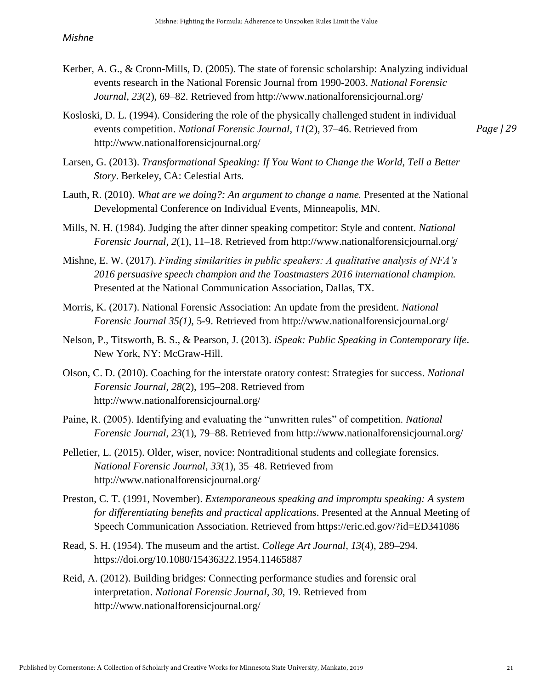- Kerber, A. G., & Cronn-Mills, D. (2005). The state of forensic scholarship: Analyzing individual events research in the National Forensic Journal from 1990-2003. *National Forensic Journal*, *23*(2), 69–82. Retrieved from http://www.nationalforensicjournal.org/
- Kosloski, D. L. (1994). Considering the role of the physically challenged student in individual events competition. *National Forensic Journal*, *11*(2), 37–46. Retrieved from http://www.nationalforensicjournal.org/

Larsen, G. (2013). *Transformational Speaking: If You Want to Change the World, Tell a Better Story*. Berkeley, CA: Celestial Arts.

- Lauth, R. (2010). *What are we doing?: An argument to change a name.* Presented at the National Developmental Conference on Individual Events, Minneapolis, MN.
- Mills, N. H. (1984). Judging the after dinner speaking competitor: Style and content. *National Forensic Journal*, *2*(1), 11–18. Retrieved from http://www.nationalforensicjournal.org/
- Mishne, E. W. (2017). *Finding similarities in public speakers: A qualitative analysis of NFA's 2016 persuasive speech champion and the Toastmasters 2016 international champion.* Presented at the National Communication Association, Dallas, TX.
- Morris, K. (2017). National Forensic Association: An update from the president. *National Forensic Journal 35(1),* 5-9. Retrieved from http://www.nationalforensicjournal.org/
- Nelson, P., Titsworth, B. S., & Pearson, J. (2013). *iSpeak: Public Speaking in Contemporary life*. New York, NY: McGraw-Hill.
- Olson, C. D. (2010). Coaching for the interstate oratory contest: Strategies for success. *National Forensic Journal*, *28*(2), 195–208. Retrieved from http://www.nationalforensicjournal.org/
- Paine, R. (2005). Identifying and evaluating the "unwritten rules" of competition. *National Forensic Journal*, *23*(1), 79–88. Retrieved from http://www.nationalforensicjournal.org/
- Pelletier, L. (2015). Older, wiser, novice: Nontraditional students and collegiate forensics. *National Forensic Journal*, *33*(1), 35–48. Retrieved from http://www.nationalforensicjournal.org/
- Preston, C. T. (1991, November). *Extemporaneous speaking and impromptu speaking: A system for differentiating benefits and practical applications*. Presented at the Annual Meeting of Speech Communication Association. Retrieved from https://eric.ed.gov/?id=ED341086
- Read, S. H. (1954). The museum and the artist. *College Art Journal*, *13*(4), 289–294. https://doi.org/10.1080/15436322.1954.11465887
- Reid, A. (2012). Building bridges: Connecting performance studies and forensic oral interpretation. *National Forensic Journal*, *30*, 19. Retrieved from http://www.nationalforensicjournal.org/